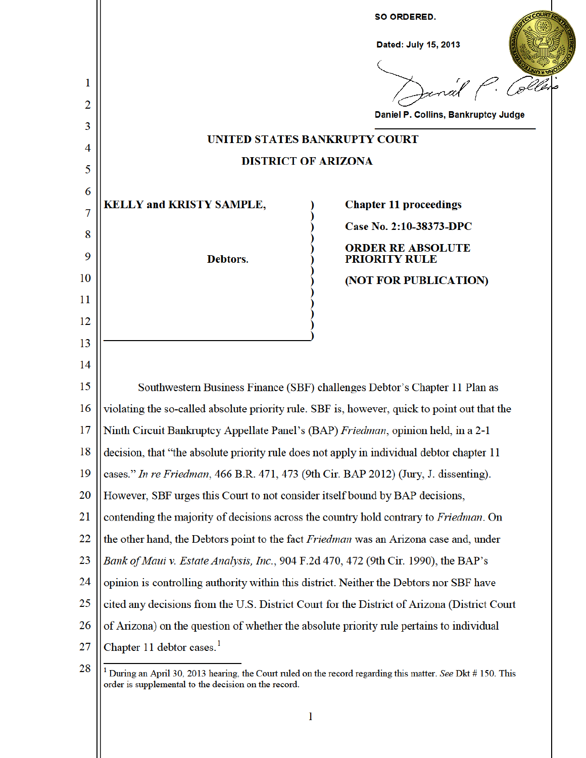

 $\mathbf{1}$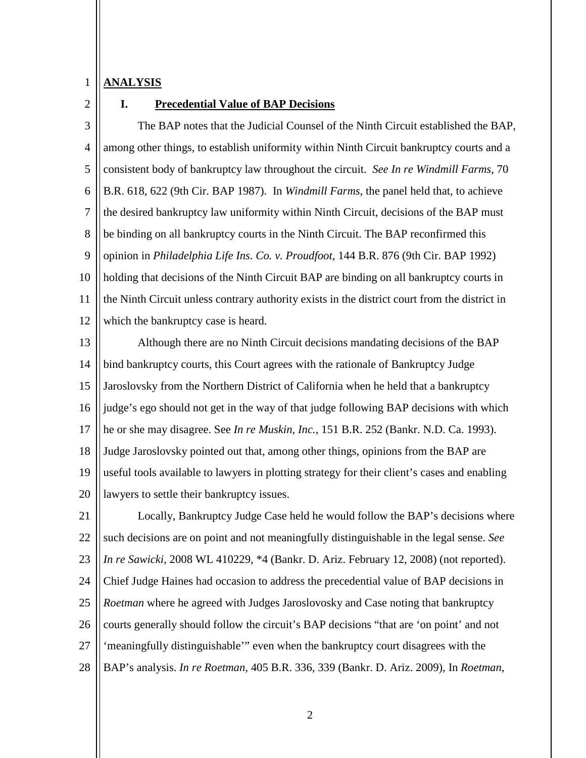## 1 **ANALYSIS**

 $\mathcal{L}$ 

## **I. Precedential Value of BAP Decisions**

3 4 5 6 7 8 9 10 11 12 The BAP notes that the Judicial Counsel of the Ninth Circuit established the BAP, among other things, to establish uniformity within Ninth Circuit bankruptcy courts and a consistent body of bankruptcy law throughout the circuit. *See In re Windmill Farms*, 70 B.R. 618, 622 (9th Cir. BAP 1987). In *Windmill Farms*, the panel held that, to achieve the desired bankruptcy law uniformity within Ninth Circuit, decisions of the BAP must be binding on all bankruptcy courts in the Ninth Circuit. The BAP reconfirmed this opinion in *Philadelphia Life Ins. Co. v. Proudfoot*, 144 B.R. 876 (9th Cir. BAP 1992) holding that decisions of the Ninth Circuit BAP are binding on all bankruptcy courts in the Ninth Circuit unless contrary authority exists in the district court from the district in which the bankruptcy case is heard.

13 14 15 16 17 18 19 20 Although there are no Ninth Circuit decisions mandating decisions of the BAP bind bankruptcy courts, this Court agrees with the rationale of Bankruptcy Judge Jaroslovsky from the Northern District of California when he held that a bankruptcy judge's ego should not get in the way of that judge following BAP decisions with which he or she may disagree. See *In re Muskin, Inc.*, 151 B.R. 252 (Bankr. N.D. Ca. 1993). Judge Jaroslovsky pointed out that, among other things, opinions from the BAP are useful tools available to lawyers in plotting strategy for their client's cases and enabling lawyers to settle their bankruptcy issues.

21 22 23 24 25 26 27 28 Locally, Bankruptcy Judge Case held he would follow the BAP's decisions where such decisions are on point and not meaningfully distinguishable in the legal sense. *See In re Sawicki*, 2008 WL 410229, \*4 (Bankr. D. Ariz. February 12, 2008) (not reported). Chief Judge Haines had occasion to address the precedential value of BAP decisions in *Roetman* where he agreed with Judges Jaroslovosky and Case noting that bankruptcy courts generally should follow the circuit's BAP decisions "that are 'on point' and not 'meaningfully distinguishable'" even when the bankruptcy court disagrees with the BAP's analysis. *In re Roetman*, 405 B.R. 336, 339 (Bankr. D. Ariz. 2009), In *Roetman*,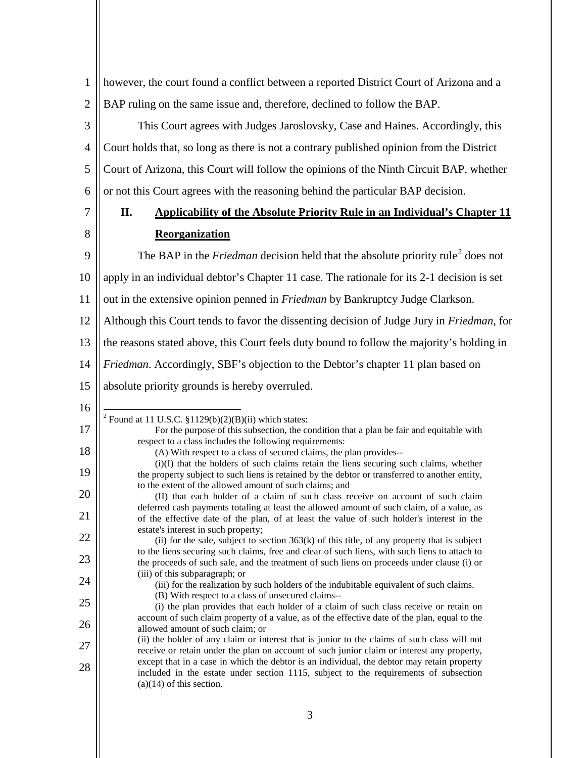1  $\mathcal{L}$ however, the court found a conflict between a reported District Court of Arizona and a BAP ruling on the same issue and, therefore, declined to follow the BAP.

3 4 5 6 This Court agrees with Judges Jaroslovsky, Case and Haines. Accordingly, this Court holds that, so long as there is not a contrary published opinion from the District Court of Arizona, this Court will follow the opinions of the Ninth Circuit BAP, whether or not this Court agrees with the reasoning behind the particular BAP decision.

7 8

9

16

17

18

19

20

21

22

23

24

28

## **II. Applicability of the Absolute Priority Rule in an Individual's Chapter 11 Reorganization**

The BAP in the *Friedman* decision held that the absolute priority rule<sup>2</sup> does not

10 apply in an individual debtor's Chapter 11 case. The rationale for its 2-1 decision is set

11 out in the extensive opinion penned in *Friedman* by Bankruptcy Judge Clarkson.

12 Although this Court tends to favor the dissenting decision of Judge Jury in *Friedman*, for

13 the reasons stated above, this Court feels duty bound to follow the majority's holding in

14 *Friedman*. Accordingly, SBF's objection to the Debtor's chapter 11 plan based on

15 absolute priority grounds is hereby overruled.

<sup>2</sup> Found at 11 U.S.C. §1129(b)(2)(B)(ii) which states:

For the purpose of this subsection, the condition that a plan be fair and equitable with respect to a class includes the following requirements: (A) With respect to a class of secured claims, the plan provides--

(i)(I) that the holders of such claims retain the liens securing such claims, whether the property subject to such liens is retained by the debtor or transferred to another entity, to the extent of the allowed amount of such claims; and

(ii) for the sale, subject to section  $363(k)$  of this title, of any property that is subject to the liens securing such claims, free and clear of such liens, with such liens to attach to the proceeds of such sale, and the treatment of such liens on proceeds under clause (i) or (iii) of this subparagraph; or

(iii) for the realization by such holders of the indubitable equivalent of such claims.

- (B) With respect to a class of unsecured claims--
- 25 26 27 (i) the plan provides that each holder of a claim of such class receive or retain on account of such claim property of a value, as of the effective date of the plan, equal to the allowed amount of such claim; or (ii) the holder of any claim or interest that is junior to the claims of such class will not receive or retain under the plan on account of such junior claim or interest any property,
	- except that in a case in which the debtor is an individual, the debtor may retain property included in the estate under section 1115, subject to the requirements of subsection  $(a)(14)$  of this section.

<sup>(</sup>II) that each holder of a claim of such class receive on account of such claim deferred cash payments totaling at least the allowed amount of such claim, of a value, as of the effective date of the plan, of at least the value of such holder's interest in the estate's interest in such property;